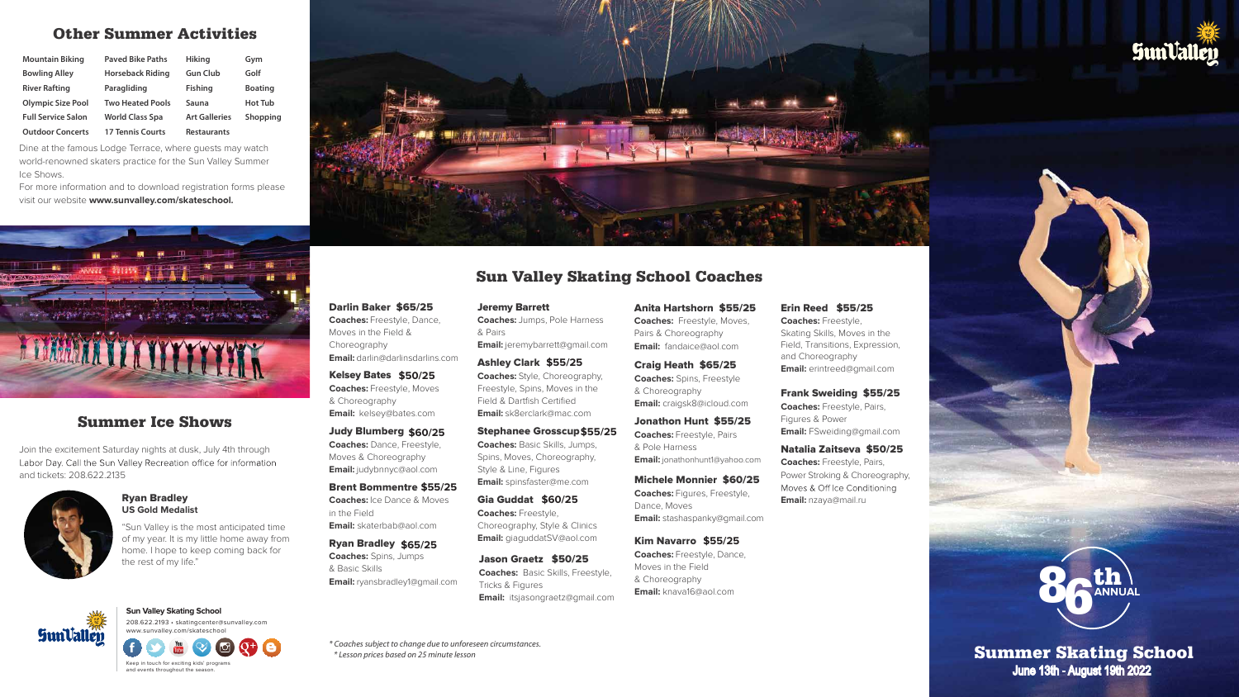# Other Summer Activities

| <b>Mountain Biking</b>    | <b>Paved Bike Paths</b> | Hiking               | Gym            |
|---------------------------|-------------------------|----------------------|----------------|
| <b>Bowling Alley</b>      | <b>Horseback Riding</b> | <b>Gun Club</b>      | Golf           |
| <b>River Rafting</b>      | Paragliding             | <b>Fishing</b>       | <b>Boating</b> |
| <b>Olympic Size Pool</b>  | <b>Two Heated Pools</b> | Sauna                | <b>Hot Tub</b> |
| <b>Full Service Salon</b> | <b>World Class Spa</b>  | <b>Art Galleries</b> | Shopping       |
| <b>Outdoor Concerts</b>   | <b>17 Tennis Courts</b> | <b>Restaurants</b>   |                |

Dine at the famous Lodge Terrace, where guests may watch world-renowned skaters practice for the Sun Valley Summer Ice Shows.

For more information and to download registration forms please visit our website **www.sunvalley.com/skateschool.**



#### Darlin Baker \$65/25 **Coaches:** Freestyle, Dance, Moves in the Field & Choreography **Email:** darlin@darlinsdarlins.com

Judy Blumberg **\$60/25 Coaches:** Dance, Freestyle, Moves & Choreography **Email:** judybnnyc@aol.com

**Sun Valley Skating School** 208.622.2193 • skatingcenter@sunvalley.com www.sunvalley.com/skateschool **SunValley** 

Brent Bommentre **\$55/25 Coaches:** Ice Dance & Moves in the Field **Email:** skaterbab@aol.com

Keep in touch for exciting kids' programs and events throughout the season.

Ryan Bradley **\$65/25 Coaches:** Spins, Jumps & Basic Skills **Email:** ryansbradley1@gmail.com Jeremy Barrett **Coaches:** Jumps, Pole Harness & Pairs **Email:** jeremybarrett@gmail.com

Kelsey Bates **\$50/25 Coaches:** Freestyle, Moves & Choreography **Email:** kelsey@bates.com

Ashley Clark **\$55/25 Coaches:** Style, Choreography, Freestyle, Spins, Moves in the Field & Dartfish Certified **Email:** sk8erclark@mac.com

Stephanee Grosscup **\$55/25Coaches:** Basic Skills, Jumps, Spins, Moves, Choreography, Style & Line, Figures **Email:** spinsfaster@me.com

Gia Guddat **\$60/25 Coaches:** Freestyle, Choreography, Style & Clinics **Email:** giaguddatSV@aol.com

Jason Graetz \$50/25 **Coaches:** Basic Skills, Freestyle, Tricks & Figures **Email:** itsjasongraetz@gmail.com

#### Erin Reed \$55/25 **Coaches:** Freestyle, Skating Skills, Moves in the Field, Transitions, Expression, and Choreography **Email:** erintreed@gmail.com

Frank Sweiding \$55/25 **Coaches:** Freestyle, Pairs, Figures & Power **Email:** FSweiding@gmail.com

#### Natalia Zaitseva \$50/25

**Coaches:** Freestyle, Pairs, Power Stroking & Choreography, Moves & Off Ice Conditioning **Email:** nzaya@mail.ru

# Sun Valley Skating School Coaches

#### Ryan Bradley **US Gold Medalist**

"Sun Valley is the most anticipated time of my year. It is my little home away from home. I hope to keep coming back for the rest of my life."



## Summer Ice Shows

Summer Skating School June 13th - August 19th 2022

Join the excitement Saturday nights at dusk, July 4th through Labor Day. Call the Sun Valley Recreation office for information and tickets: 208.622.2135



*\* Coaches subject to change due to unforeseen circumstances. \* Lesson prices based on 25 minute lesson*





Anita Hartshorn \$55/25 **Coaches:** Freestyle, Moves, Pairs & Choreography **Email:** fandaice@aol.com

Craig Heath \$65/25 **Coaches:** Spins, Freestyle & Choreography **Email:** craigsk8@icloud.com

Jonathon Hunt \$55/25 **Coaches:** Freestyle, Pairs & Pole Harness **Email:** jonathonhunt1@yahoo.com

Michele Monnier \$60/25 **Coaches:** Figures, Freestyle, Dance, Moves **Email:** stashaspanky@gmail.com

Kim Navarro **\$55/25 Coaches:** Freestyle, Dance, Moves in the Field & Choreography **Email:** knava16@aol.com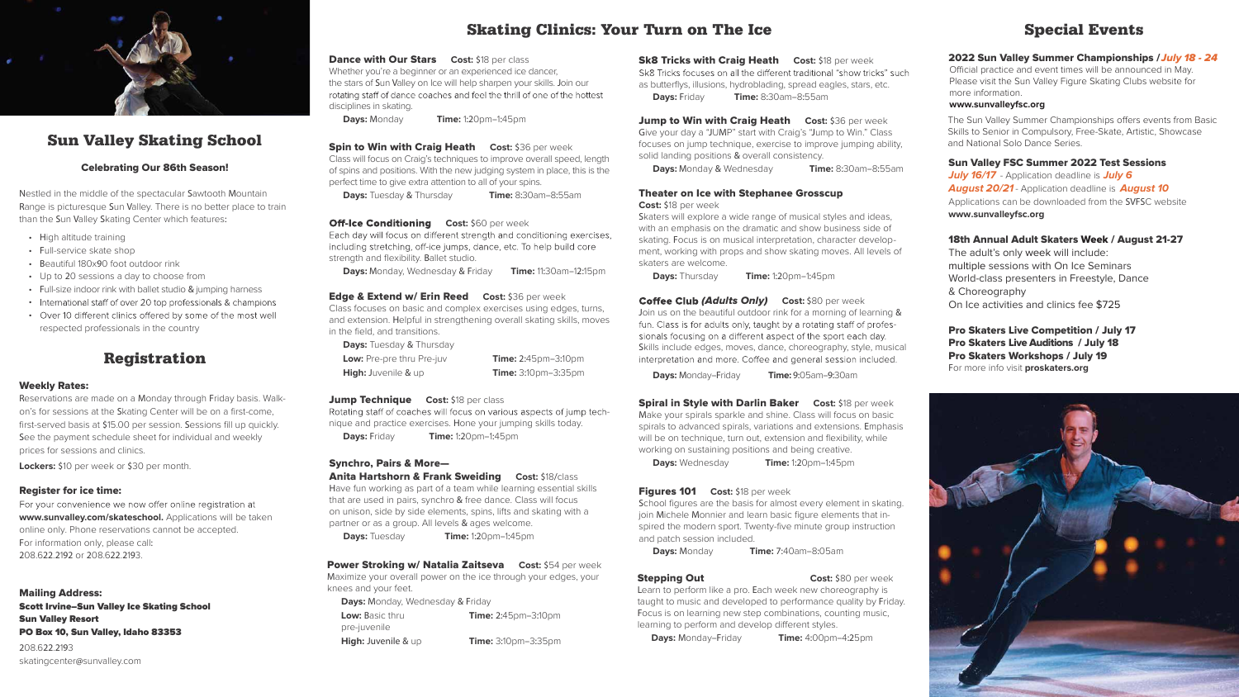# Registration

#### Weekly Rates:

Reservations are made on a Monday through Friday basis. Walkon's for sessions at the Skating Center will be on a first-come, first-served basis at \$15.00 per session. Sessions fill up quickly. See the payment schedule sheet for individual and weekly prices for sessions and clinics.

For your convenience we now offer online registration at **www.sunvalley.com/skateschool.** Applications will be taken online only. Phone reservations cannot be accepted. For information only, please call: 208.622.2192 or 208.622.2193.

**Lockers:** \$10 per week or \$30 per month.

#### Register for ice time:

**Dance with Our Stars Cost: \$18 per class** Whether you're a beginner or an experienced ice dancer. the stars of Sun Valley on Ice will help sharpen your skills. Join our rotating staff of dance coaches and feel the thrill of one of the hottest disciplines in skating.

**Spin to Win with Craig Heath Cost: \$36 per week** Class will focus on Craig's techniques to improve overall speed, length of spins and positions. With the new judging system in place, this is the perfect time to give extra attention to all of your spins.

Mailing Address: Scott Irvine–Sun Valley Ice Skating School Sun Valley Resort PO Box 10, Sun Valley, Idaho 83353 208.622.2193

**Off-Ice Conditioning Cost:** \$60 per week Each day will focus on different strength and conditioning exercises, including stretching, off-ice jumps, dance, etc. To help build core strength and flexibility. Ballet studio.

skatingcenter@sunvalley.com

**Days:** Tuesday & Thursday **Low:** Pre-pre thru Pre-juv **Time:** 2:45pm-3:10pm **High:** Juvenile & up **Time:** 3:10pm-3:35pm

#### **Jump Technique Cost:** \$18 per class

Rotating staff of coaches will focus on various aspects of jump technique and practice exercises. Hone your jumping skills today. **Days:** Friday **Time:** 1:20pm–1:45pm

**Days:** Monday **Time:** 1:20pm–1:45pm

**Power Stroking w/ Natalia Zaitseva** Cost: \$54 per week Maximize your overall power on the ice through your edges, your knees and your feet.

**Days:** Monday, Wednesday & Friday **Low:** Basic thru pre-juvenile **Time:** 2:45pm–3:10pm **High:** Juvenile & up **Time:** 3:10pm–3:35pm **Sk8 Tricks with Craig Heath Cost: \$18 per week** Sk8 Tricks focuses on all the different traditional "show tricks" such as butterflys, illusions, hydroblading, spread eagles, stars, etc. **Days:** Friday **Time:** 8:30am–8:55am

**Jump to Win with Craig Heath Cost: \$36 per week** Give your day a "JUMP" start with Craig's "Jump to Win." Class focuses on jump technique, exercise to improve jumping ability, solid landing positions & overall consistency.

**Days:** Tuesday & Thursday **Time:** 8:30am–8:55am

**Days:** Monday, Wednesday & Friday **Time:** 11:30am–12:15pm

#### Edge & Extend w/ Erin Reed **Cost:** \$36 per week

Class focuses on basic and complex exercises using edges, turns, and extension. Helpful in strengthening overall skating skills, moves in the field, and transitions.

> School figures are the basis for almost every element in skating. join Michele Monnier and learn basic figure elements that inspired the modern sport. Twenty-five minute group instruction and patch session included.

**Days:** Monday & Wednesday **Time:** 8:30am–8:55am

#### Theater on Ice with Stephanee Grosscup

**Cost:** \$18 per week

Skaters will explore a wide range of musical styles and ideas, with an emphasis on the dramatic and show business side of skating. Focus is on musical interpretation, character development, working with props and show skating moves. All levels of skaters are welcome.

**Days:** Thursday **Time:** 1:20pm–1:45pm

**Coffee Club (Adults Only) Cost:** \$80 per week Join us on the beautiful outdoor rink for a morning of learning & fun. Class is for adults only, taught by a rotating staff of professionals focusing on a different aspect of the sport each day. Skills include edges, moves, dance, choreography, style, musical interpretation and more. Coffee and general session included.

**Days:** Monday–Friday **Time:** 9:05am–9:30am

Spiral in Style with Darlin Baker **Cost:** \$18 per week Make your spirals sparkle and shine. Class will focus on basic spirals to advanced spirals, variations and extensions. Emphasis will be on technique, turn out, extension and flexibility, while working on sustaining positions and being creative.

**Days:** Wednesday **Time:** 1:20pm–1:45pm

#### Figures 101 **Cost:** \$18 per week

**Days:** Monday **Time:** 7:40am–8:05am

### **Stepping Out Cost: \$80 per week**

#### Synchro, Pairs & More—

Anita Hartshorn & Frank Sweiding **Cost:** \$18/class Have fun working as part of a team while learning essential skills that are used in pairs, synchro & free dance. Class will focus on unison, side by side elements, spins, lifts and skating with a partner or as a group. All levels & ages welcome.

**Days:** Tuesday **Time:** 1:20pm–1:45pm

# Skating Clinics: Your Turn on The Ice



# Sun Valley Skating School

#### Celebrating Our 86th Season!

Nestled in the middle of the spectacular Sawtooth Mountain Range is picturesque Sun Valley. There is no better place to train than the Sun Valley Skating Center which features:

- High altitude training
- Full-service skate shop
- Beautiful 180x90 foot outdoor rink
- Up to 20 sessions a day to choose from
- Full-size indoor rink with ballet studio & jumping harness
- International staff of over 20 top professionals & champions
- Over 10 different clinics offered by some of the most well respected professionals in the country

# Special Events

#### 2022 Sun Valley Summer Championships / July 18 - 24

#### Sun Valley FSC Summer 2022 Test Sessions

**July 16/17** - Application deadline is **July 6 August 20/21** - Application deadline is **August 10** Applications can be downloaded from the SVFSC website **www.sunvalleyfsc.org**

#### 18th Annual Adult Skaters Week / August 21-27

- The adult's only week will include:
- multiple sessions with On Ice Seminars
- World-class presenters in Freestyle, Dance
- & Choreography
- On Ice activities and clinics fee \$725

#### Pro Skaters Live Competition / July 17

#### Pro Skaters Live Auditions / July 18

#### Pro Skaters Workshops / July 19

For more info visit **proskaters.org**



Skills to Senior in Compulsory, Free-Skate, Artistic, Showcase and National Solo Dance Series.

Learn to perform like a pro. Each week new choreography is taught to music and developed to performance quality by Friday. Focus is on learning new step combinations, counting music, learning to perform and develop different styles.

**Days:** Monday–Friday **Time:** 4:00pm–4:25pm

Official practice and event times will be announced in May. Please visit the Sun Valley Figure Skating Clubs website for more information. **www.sunvalleyfsc.org** The Sun Valley Summer Championships offers events from Basic